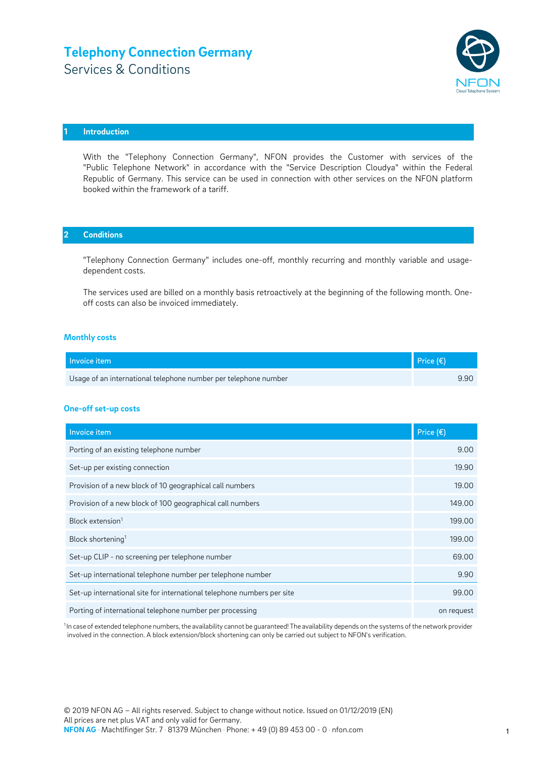

#### **1 Introduction**

With the "Telephony Connection Germany", NFON provides the Customer with services of the "Public Telephone Network" in accordance with the "Service Description Cloudya" within the Federal Republic of Germany. This service can be used in connection with other services on the NFON platform booked within the framework of a tariff.

### **2 Conditions**

"Telephony Connection Germany" includes one-off, monthly recurring and monthly variable and usagedependent costs.

The services used are billed on a monthly basis retroactively at the beginning of the following month. Oneoff costs can also be invoiced immediately.

#### **Monthly costs**

| Invoice item                                                    | Price $(\epsilon)$ |
|-----------------------------------------------------------------|--------------------|
| Usage of an international telephone number per telephone number | 9.90               |

#### **One-off set-up costs**

| Invoice item                                                           | Price $(\epsilon)$ |
|------------------------------------------------------------------------|--------------------|
| Porting of an existing telephone number                                | 9.00               |
| Set-up per existing connection                                         | 19.90              |
| Provision of a new block of 10 geographical call numbers               | 19.00              |
| Provision of a new block of 100 geographical call numbers              | 149.00             |
| Block extension <sup>1</sup>                                           | 199.00             |
| Block shortening <sup>1</sup>                                          | 199.00             |
| Set-up CLIP - no screening per telephone number                        | 69.00              |
| Set-up international telephone number per telephone number             | 9.90               |
| Set-up international site for international telephone numbers per site | 99.00              |
| Porting of international telephone number per processing               | on request         |

<sup>1</sup>In case of extended telephone numbers, the availability cannot be quaranteed! The availability depends on the systems of the network provider involved in the connection. A block extension/block shortening can only be carried out subject to NFON's verification.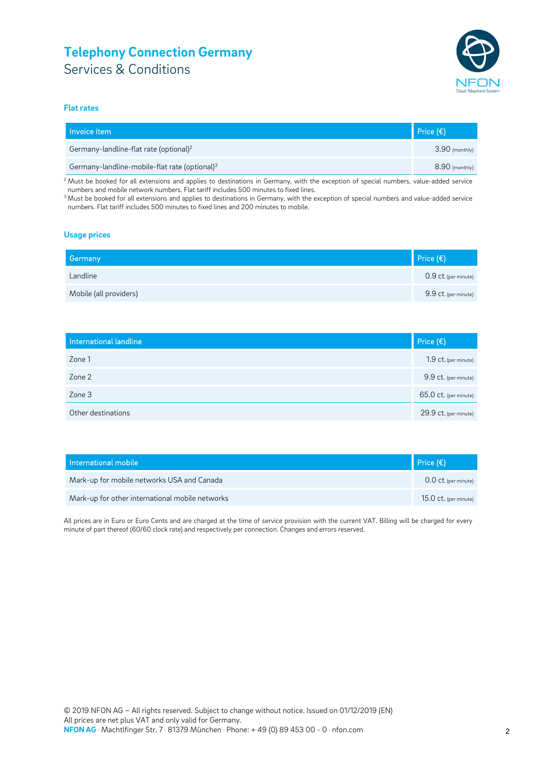

#### **Flat rates**

| Invoice item                                              | Price $(\epsilon)$ |
|-----------------------------------------------------------|--------------------|
| Germany-landline-flat rate (optional) <sup>2</sup>        | $3.90$ (monthly)   |
| Germany-landline-mobile-flat rate (optional) <sup>3</sup> | $8.90$ (monthly)   |

 $2$  Must be booked for all extensions and applies to destinations in Germany, with the exception of special numbers, value-added service numbers and mobile network numbers. Flat tariff includes 500 minutes to fixed lines.

<sup>3</sup> Must be booked for all extensions and applies to destinations in Germany, with the exception of special numbers and value-added service numbers. Flat tariff includes 500 minutes to fixed lines and 200 minutes to mobile.

#### **Usage prices**

| Germany                | Price $(\epsilon)$   |
|------------------------|----------------------|
| Landline               | 0.9 ct. (per minute) |
| Mobile (all providers) | 9.9 ct. (per minute) |

| International landline | Price $(\epsilon)$    |
|------------------------|-----------------------|
| Zone 1                 | 1.9 ct. (per minute)  |
| Zone 2                 | 9.9 ct. (per minute)  |
| Zone 3                 | 65.0 ct. (per minute) |
| Other destinations     | 29.9 ct. (per minute) |

| International mobile                            | Price $(\epsilon)$      |
|-------------------------------------------------|-------------------------|
| Mark-up for mobile networks USA and Canada      | $0.0$ Ct. (per minute)  |
| Mark-up for other international mobile networks | $15.0$ Ct. (per minute) |

All prices are in Euro or Euro Cents and are charged at the time of service provision with the current VAT. Billing will be charged for every minute of part thereof (60/60 clock rate) and respectively per connection. Changes and errors reserved.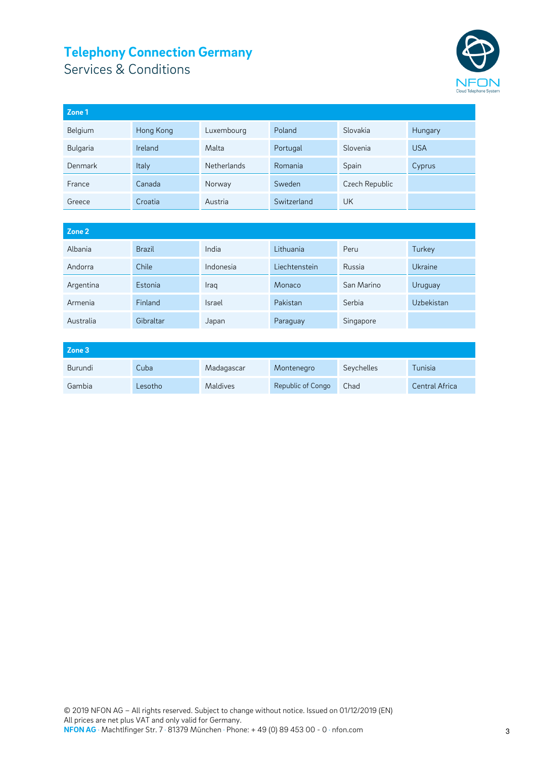

| Zone 1   |           |                    |             |                |            |
|----------|-----------|--------------------|-------------|----------------|------------|
| Belgium  | Hong Kong | Luxembourg         | Poland      | Slovakia       | Hungary    |
| Bulgaria | Ireland   | Malta              | Portugal    | Slovenia       | <b>USA</b> |
| Denmark  | Italy     | <b>Netherlands</b> | Romania     | Spain          | Cyprus     |
| France   | Canada    | Norway             | Sweden      | Czech Republic |            |
| Greece   | Croatia   | Austria            | Switzerland | UK             |            |

| Zone 2    |               |               |               |            |                |
|-----------|---------------|---------------|---------------|------------|----------------|
| Albania   | <b>Brazil</b> | India         | Lithuania     | Peru       | Turkey         |
| Andorra   | Chile         | Indonesia     | Liechtenstein | Russia     | <b>Ukraine</b> |
| Argentina | Estonia       | Iraq          | Monaco        | San Marino | Uruguay        |
| Armenia   | Finland       | <b>Israel</b> | Pakistan      | Serbia     | Uzbekistan     |
| Australia | Gibraltar     | Japan         | Paraguay      | Singapore  |                |

| Zone 3  |         |                 |                   |            |                |
|---------|---------|-----------------|-------------------|------------|----------------|
| Burundi | Cuba    | Madagascar      | Montenegro        | Seychelles | Tunisia        |
| Gambia  | Lesotho | <b>Maldives</b> | Republic of Congo | Chad       | Central Africa |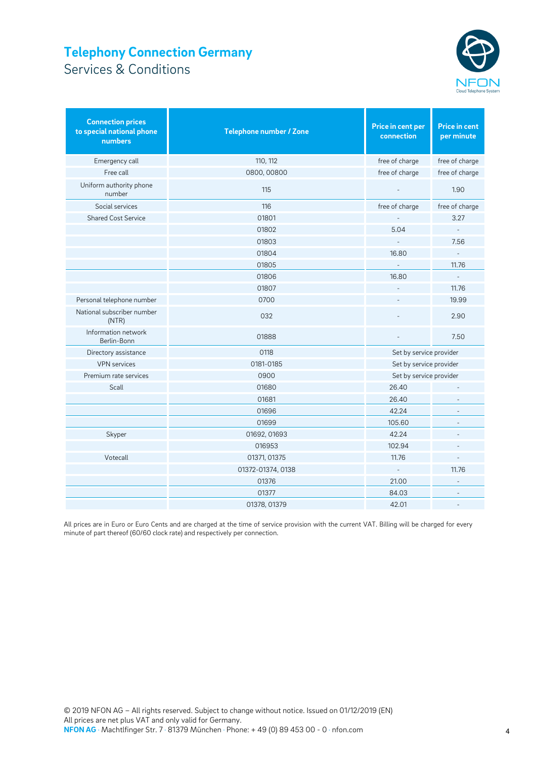

| <b>Connection prices</b><br>to special national phone<br>numbers | Telephone number / Zone | Price in cent per<br>connection | <b>Price in cent</b><br>per minute |
|------------------------------------------------------------------|-------------------------|---------------------------------|------------------------------------|
| Emergency call                                                   | 110, 112                | free of charge                  | free of charge                     |
| Free call                                                        | 0800,00800              | free of charge                  | free of charge                     |
| Uniform authority phone<br>number                                | 115                     |                                 | 1.90                               |
| Social services                                                  | 116                     | free of charge                  | free of charge                     |
| <b>Shared Cost Service</b>                                       | 01801                   |                                 | 3.27                               |
|                                                                  | 01802                   | 5.04                            | $\overline{a}$                     |
|                                                                  | 01803                   |                                 | 7.56                               |
|                                                                  | 01804                   | 16.80                           |                                    |
|                                                                  | 01805                   | $\overline{a}$                  | 11.76                              |
|                                                                  | 01806                   | 16.80                           |                                    |
|                                                                  | 01807                   |                                 | 11.76                              |
| Personal telephone number                                        | 0700                    |                                 | 19.99                              |
| National subscriber number<br>(NTR)                              | 032                     |                                 | 2.90                               |
| Information network<br>Berlin-Bonn                               | 01888                   |                                 | 7.50                               |
| Directory assistance                                             | 0118                    | Set by service provider         |                                    |
| <b>VPN</b> services                                              | 0181-0185               | Set by service provider         |                                    |
| Premium rate services                                            | 0900                    | Set by service provider         |                                    |
| Scall                                                            | 01680                   | 26.40                           |                                    |
|                                                                  | 01681                   | 26.40                           |                                    |
|                                                                  | 01696                   | 42.24                           |                                    |
|                                                                  | 01699                   | 105.60                          |                                    |
| Skyper                                                           | 01692, 01693            | 42.24                           |                                    |
|                                                                  | 016953                  | 102.94                          |                                    |
| Votecall                                                         | 01371, 01375            | 11.76                           |                                    |
|                                                                  | 01372-01374, 0138       |                                 | 11.76                              |
|                                                                  | 01376                   | 21.00                           |                                    |
|                                                                  | 01377                   | 84.03                           |                                    |
|                                                                  | 01378, 01379            | 42.01                           |                                    |

All prices are in Euro or Euro Cents and are charged at the time of service provision with the current VAT. Billing will be charged for every minute of part thereof (60/60 clock rate) and respectively per connection.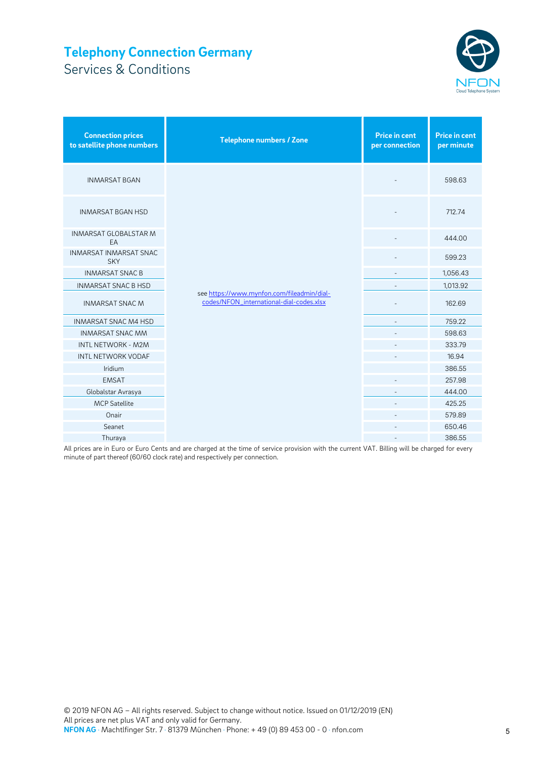

| <b>Connection prices</b><br>to satellite phone numbers | <b>Telephone numbers / Zone</b>                                                        | <b>Price in cent</b><br>per connection | <b>Price in cent</b><br>per minute |
|--------------------------------------------------------|----------------------------------------------------------------------------------------|----------------------------------------|------------------------------------|
| <b>INMARSAT BGAN</b>                                   |                                                                                        |                                        | 598.63                             |
| <b>INMARSAT BGAN HSD</b>                               |                                                                                        |                                        | 712.74                             |
| <b>INMARSAT GLOBALSTAR M</b><br>EA                     |                                                                                        |                                        | 444.00                             |
| <b>INMARSAT INMARSAT SNAC</b><br><b>SKY</b>            |                                                                                        |                                        | 599.23                             |
| <b>INMARSAT SNAC B</b>                                 |                                                                                        |                                        | 1,056.43                           |
| <b>INMARSAT SNAC B HSD</b>                             |                                                                                        |                                        | 1,013.92                           |
| <b>INMARSAT SNAC M</b>                                 | see https://www.mynfon.com/fileadmin/dial-<br>codes/NFON_international-dial-codes.xlsx |                                        | 162.69                             |
| <b>INMARSAT SNAC M4 HSD</b>                            |                                                                                        |                                        | 759.22                             |
| <b>INMARSAT SNAC MM</b>                                |                                                                                        |                                        | 598.63                             |
| INTL NETWORK - M2M                                     |                                                                                        |                                        | 333.79                             |
| <b>INTL NETWORK VODAF</b>                              |                                                                                        |                                        | 16.94                              |
| Iridium                                                |                                                                                        |                                        | 386.55                             |
| <b>EMSAT</b>                                           |                                                                                        |                                        | 257.98                             |
| Globalstar Avrasya                                     |                                                                                        | $\overline{a}$                         | 444.00                             |
| <b>MCP Satellite</b>                                   |                                                                                        |                                        | 425.25                             |
| Onair                                                  |                                                                                        |                                        | 579.89                             |
| Seanet                                                 |                                                                                        |                                        | 650.46                             |
| Thuraya                                                |                                                                                        |                                        | 386.55                             |

All prices are in Euro or Euro Cents and are charged at the time of service provision with the current VAT. Billing will be charged for every minute of part thereof (60/60 clock rate) and respectively per connection.